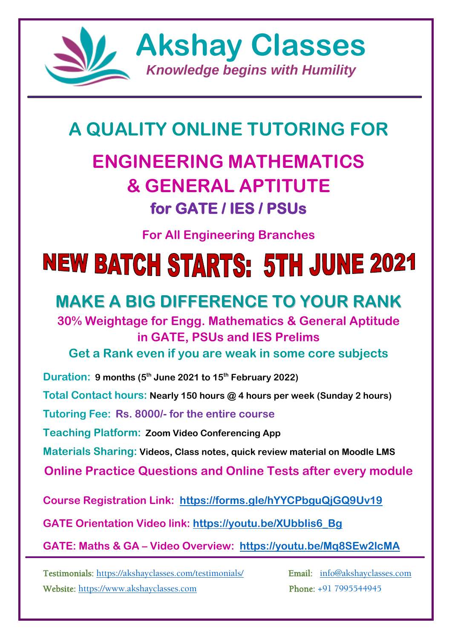

# **A QUALITY ONLINE TUTORING FOR**

# **ENGINEERING MATHEMATICS & GENERAL APTITUTE for GATE / IES / PSUs**

**For All Engineering Branches**

# **NEW BATCH STARTS: 5TH JUNE 2021**

# **MAKE A BIG DIFFERENCE TO YOUR RANK**

# **30% Weightage for Engg. Mathematics & General Aptitude in GATE, PSUs and IES Prelims**

**Get a Rank even if you are weak in some core subjects**

**Duration: 9 months (5 th June 2021 to 15th February 2022) Total Contact hours: Nearly 150 hours @ 4 hours per week (Sunday 2 hours) Tutoring Fee: Rs. 8000/- for the entire course Teaching Platform: Zoom Video Conferencing App Materials Sharing: Videos, Class notes, quick review material on Moodle LMS Online Practice Questions and Online Tests after every module Course Registration Link: <https://forms.gle/hYYCPbguQjGQ9Uv19> GATE Orientation Video link: [https://youtu.be/XUbbIis6\\_Bg](https://youtu.be/XUbbIis6_Bg) GATE: Maths & GA – Video Overview: <https://youtu.be/Mq8SEw2lcMA>**

Testimonials:<https://akshayclasses.com/testimonials/>Email: [info@akshayclasses.com](mailto:info@akshayclasses.com)  Website: [https://www.akshayclasses.com](https://www.akshayclasses.com/) Phone: +91 7995544945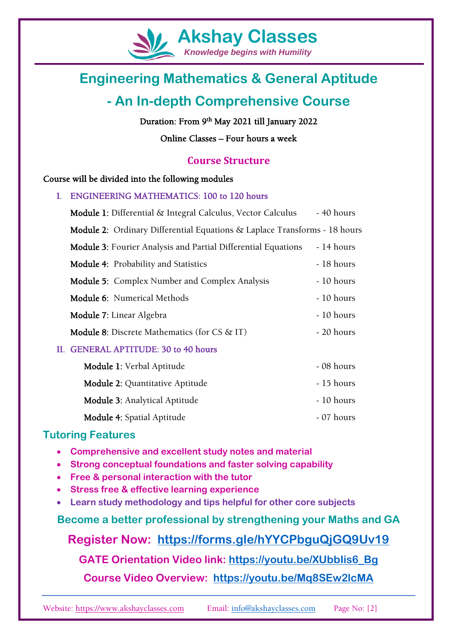

*Knowledge begins with Humility*

# **Engineering Mathematics & General Aptitude**

# **- An In-depth Comprehensive Course**

### Duration: From 9<sup>th</sup> May 2021 till January 2022

Online Classes – Four hours a week

### **Course Structure**

### Course will be divided into the following modules

| I. | <b>ENGINEERING MATHEMATICS: 100 to 120 hours</b>                                 |            |
|----|----------------------------------------------------------------------------------|------------|
|    | <b>Module 1:</b> Differential & Integral Calculus, Vector Calculus               | - 40 hours |
|    | <b>Module 2:</b> Ordinary Differential Equations & Laplace Transforms - 18 hours |            |
|    | <b>Module 3:</b> Fourier Analysis and Partial Differential Equations             | - 14 hours |
|    | <b>Module 4: Probability and Statistics</b>                                      | - 18 hours |
|    | <b>Module 5:</b> Complex Number and Complex Analysis                             | - 10 hours |
|    | <b>Module 6:</b> Numerical Methods                                               | - 10 hours |
|    | <b>Module 7:</b> Linear Algebra                                                  | - 10 hours |
|    | <b>Module 8:</b> Discrete Mathematics (for $CS \& II$ )                          | - 20 hours |
|    | II. GENERAL APTITUDE: 30 to 40 hours                                             |            |
|    | <b>Module 1:</b> Verbal Aptitude                                                 | - 08 hours |
|    | <b>Module 2:</b> Quantitative Aptitude                                           | - 15 hours |
|    | <b>Module 3: Analytical Aptitude</b>                                             | - 10 hours |

## **Tutoring Features**

- **Comprehensive and excellent study notes and material**
- **Strong conceptual foundations and faster solving capability**
- **Free & personal interaction with the tutor**
- **Stress free & effective learning experience**
- **Learn study methodology and tips helpful for other core subjects**

**Become a better professional by strengthening your Maths and GA**

Module 4: Spatial Aptitude - 07 hours

# **Register Now: <https://forms.gle/hYYCPbguQjGQ9Uv19>**

**GATE Orientation Video link: [https://youtu.be/XUbbIis6\\_Bg](https://youtu.be/XUbbIis6_Bg)**

# **Course Video Overview: <https://youtu.be/Mq8SEw2lcMA>**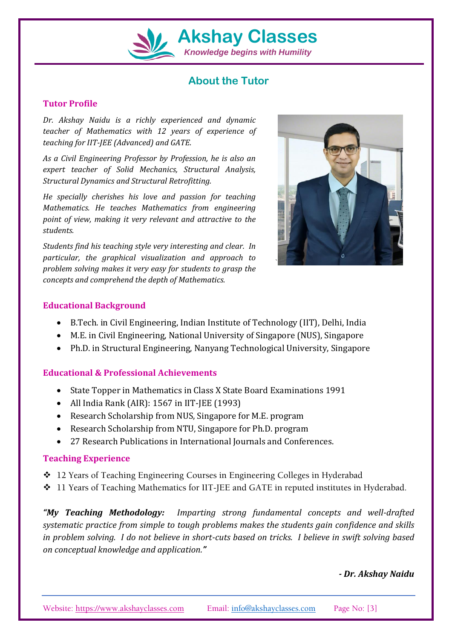

# **Akshay Classes**

*Knowledge begins with Humility*

# **About the Tutor**

#### **Tutor Profile**

*Dr. Akshay Naidu is a richly experienced and dynamic teacher of Mathematics with 12 years of experience of teaching for IIT-JEE (Advanced) and GATE.*

*As a Civil Engineering Professor by Profession, he is also an expert teacher of Solid Mechanics, Structural Analysis, Structural Dynamics and Structural Retrofitting.* 

*He specially cherishes his love and passion for teaching Mathematics. He teaches Mathematics from engineering point of view, making it very relevant and attractive to the students.*

*Students find his teaching style very interesting and clear. In particular, the graphical visualization and approach to problem solving makes it very easy for students to grasp the concepts and comprehend the depth of Mathematics.*



#### **Educational Background**

- B.Tech. in Civil Engineering, Indian Institute of Technology (IIT), Delhi, India
- M.E. in Civil Engineering, National University of Singapore (NUS), Singapore
- Ph.D. in Structural Engineering, Nanyang Technological University, Singapore

### **Educational & Professional Achievements**

- State Topper in Mathematics in Class X State Board Examinations 1991
- All India Rank (AIR): 1567 in IIT-JEE (1993)
- Research Scholarship from NUS, Singapore for M.E. program
- Research Scholarship from NTU, Singapore for Ph.D. program
- 27 Research Publications in International Journals and Conferences.

### **Teaching Experience**

- ❖ 12 Years of Teaching Engineering Courses in Engineering Colleges in Hyderabad
- ❖ 11 Years of Teaching Mathematics for IIT-JEE and GATE in reputed institutes in Hyderabad.

*"My Teaching Methodology: Imparting strong fundamental concepts and well-drafted systematic practice from simple to tough problems makes the students gain confidence and skills in problem solving. I do not believe in short-cuts based on tricks. I believe in swift solving based on conceptual knowledge and application."* 

*- Dr. Akshay Naidu*